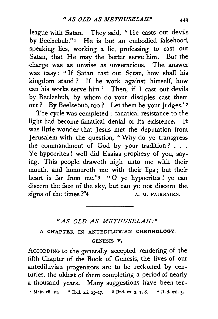league with Satan. They said, " He casts out devils by Beelzebub."<sup>1</sup> He is but an embodied falsehood, speaking lies, working a lie, professing to cast out Satan, that He may the better serve him. But the charge was as unwise as unveracious. The answer was easy : " If Satan cast out Satan, how shall his kingdom stand ? If he work against himself, how can his works serve him ? Then, if I cast out devils by Beelzebub, by whom do your disciples cast them out ? By Beelzebub, too ? Let them be your judges."?

The cycle was completed ; fanatical resistance to the light had become fanatical denial of its existence. It was little wonder that Jesus met the deputation from Jerusalem with the question, "Why do ye transgress the commandment of God by your tradition? . . . Ye hypocrites ! well did Esaias prophesy of you, saying, This people draweth nigh unto me with their mouth, and honoureth me with their lips ; but their heart is far from me."3 "O ye hypocrites! ye can discern the face of the sky, but can ye not discern the signs of the times ?"4 A. M. FAIRBAIRN.

## *"AS OLD AS METHUSELAH:"*

## A CHAPTER IN ANTEDILUVIAN CHRONOLOGY.

## GENESIS V.

AccoRDING to the generally accepted rendering of the fifth Chapter of the Book of Genesis, the lives of our antediluvian progenitors are to be reckoned by centuries, the oldest of them completing a period of nearly a thousand years. Many suggestions have been ten-  $*$  Matt. xii. 24.  $*$  Ibid. xii. 25-27.  $*$  Ibid. xv. 3, 7, 8.  $*$  Ibid. xvi. 3.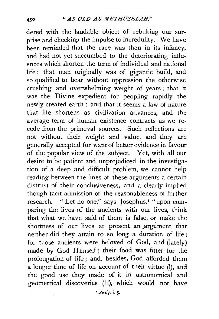dered with the laudable object of rebuking our surprise and checking the impulse to incredulity. We have been reminded that the race was then in its infancy, and had not yet succumbed to the deteriorating influences which shorten the term of individual and national life ; that man originally was of gigantic build, and so qualified to bear without oppression the otherwise crushing and overwhelming weight of years ; that it was the Divine expedient for peopling rapidly the newly-created earth : and that it seems a law of nature that life shortens as civilization advances, and the average term of human existence contracts as we recede from the primeval sources. Such reflections are not without their weight and value, and they are generally accepted for want of better evidence in favour of the popular view of the subject. Yet, with all our desire to be patient and unprejudiced in the investigation of a deep and difficult problem, we cannot help reading between the lines of these arguments a certain distrust of their conclusiveness, and a clearly implied though tacit admission of the reasonableness of further research. " Let no one," says Josephus,<sup>1</sup> " upon comparing the lives of the ancients with our lives, think that what we have said of them is false, or make the shortness of our lives at present an argument that neither did they attain to so long a duration of life ; for those ancients were beloved of God, and (lately) made by God Himself ; their food was fitter for the prolongation of life ; and, besides, God afforded them a longer time of life on account of their virtue (!), and the good use they made of it in astronomical and geometrical discoveries (! !), which would not have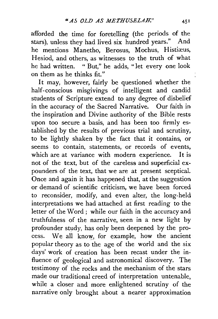afforded the time for foretelling (the periods of the stars), unless they had lived six hundred years." And he mentions Manetho, Berosus, Mochus, Histiæus, Hesiod, and others, as witnesses to the truth of what he had written. " But," he adds, "let every one look on them as he thinks fit."

It may, however, fairly be questioned whether the half-conscious misgivings of intelligent and candid students of Scripture extend to any degree of disbelief in the accuracy of the Sacred Narrative. Our faith in the inspiration and Divine authority of the Bible rests upon too secure a basis, and has been too firmly established by the results of previous trial and scrutiny, to be lightly shaken by the fact that it contains, or seems to contain, statements, or records of events, which are at variance with modern experience. It is not of the text, but of the careless and superficial expounders of the text, that we are at present scepticaL Once and again it has happened that, at the suggestion or demand of scientific criticism, we have been forced to reconsider, modify, and even alter, the long-held interpretations we had attached at first reading to the letter of the Word ; while our faith in the accuracy and truthfulness of the narrative, seen in a new light by profounder study, has only been deepened by the process. We all know, for example, how the ancient popular theory as to the age of the world and the six days' work of creation has been recast under the influence of geological and astronomical discovery. The testimony of the rocks and the mechanism of the stars made our traditional creed of interpretation untenable, while a closer and more enlightened scrutiny of the narrative only brought about a nearer approximation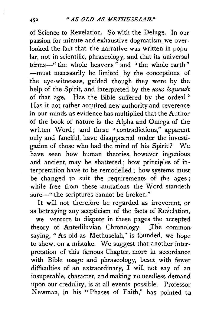of Science to Revelation. So with the Deluge. In our passion for minute and exhaustive dogmatism, we overlooked the fact that the narrative was written in popular, not in scientific, phraseology, and that its universal terms-" the whole heavens" and "the whole earth" -must necessarily be limited by the conceptions of the eye-witnesses, guided though they were by the help of the Spirit, and interpreted by the *usus loquendt*  of that age. Has the Bible suffered by the ordeal ? Has it not rather acquired new authority and reverence in our minds as evidence has multiplied that the Author of the book of nature is the Alpha and Omega of the written Word; and these "contradictions," apparent only and fanciful, have disappeared under the investigation of those who had the mind of his Spirit ? We have seen how human theories, however ingenious and ancient, may be shattered; how principles of interpretation have to be remodelled; how systems must be changed to suit the requirements of the ages ; while free from these mutations the Word standeth sure-" the scriptures cannot be broken."

It will not therefore be regarded as irreverent, or as betraying any scepticism of the facts of Revelation,

we venture to dispute in these pages the accepted theory of Antediluvian Chronology. The common saying, " As old as Methuselah," is founded, we hope to shew, on a mistake. We suggest that another interpretation of this famous Chapter, more in accordance with Bible usage and phraseology, beset with fewer difficulties of an extraordinary, I will not say of an insuperable, character, and making no needless demand upon our credulity, is at all events possible. Professor Newman, in his "Phases of Faith," has pointed to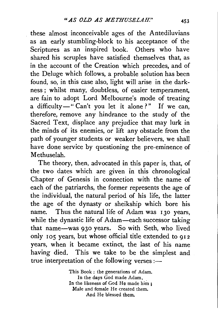these almost inconceivable ages of the Antediluvians as an early stumbling-block to his acceptance of the Scriptures as an inspired book. Others who have shared his scruples have satisfied themselves that, as in the account of the Creation which precedes, and of the Deluge which follows, a probable solution has been found, so, in this case also, light will arise in the darkness ; whilst many, doubtless, of easier temperament, are fain to adopt Lord Melbourne's mode of treating a difficulty-" Can't you let it alone ?" If we can, therefore, remove any hindrance to the study of the Sacred Text, displace any prejudice that may lurk in the minds of its enemies, or lift any obstacle from the path of younger students or weaker believers, we shall have done service by questioning the pre-eminence of Methuselah.

The theory, then, advocated in this paper is, that, of the two dates which are given in this chronological Chapter of Genesis in connection with the name of each of the patriarchs, the former represents the age of the individual, the natural period of his life, the latter the age of the dynasty or sheikship which bore his name. Thus the natural life of Adam was 130 years, while the dynastic life of Adam-each successor taking that name-was 930 years. So with Seth, who lived only 105 years, but whose official title extended to 912 years, when it became extinct, the last of his name having died. This we take to be the simplest and true interpretation of the following verses :-

> This Book : the generations of Adam. In the days God made Adam, In the likeness of God He made him ; Male and female He created them. And He blessed them.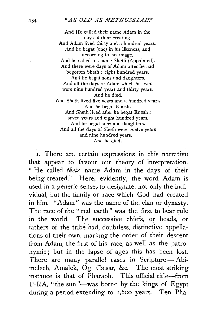And He called their name *A* dam in the days of their creating. And Adam lived thirty and a hundred years. And he begat (one) in his likeness, and according to his image. And he called his name Sheth (Appointed). And there were days of Adam after he had begotten Sheth : eight hundred years. And he begat sons and daughters. And all the days of Adam which he lived were nine hundred years and thirty years. And he died. And Sheth lived five years and a hundred years. And he begat Enosh. And Sheth lived after he begat Enosh : seven years and eight hundred years. And he begat sons and daughters. And all the days of Sheth were twelve years and nine hundred years. And he died.

1. There are certain expressions in this narrative that appear to favour our theory of interpretation. " He called *their* name Adam in the days of their being created." Here, evidently, the word Adam is used in a generic sense, to designate, not only the individual, but the family or race which God had created in him. "Adam" was the name of the clan or dynasty. The race of the "red earth" was the first to bear rule in the world. The successive chiefs, or heads, or fathers of the tribe had, doubtless, distinctive appellations of their own, marking the order of their descent from Adam, the first of his race, as well as the patronymic; but in the lapse of ages this has been lost. There are many parallel cases in Scripture $-$ Abimelech, Amalek, Og, Cæsar, &c. The most striking instance is that of Pharaoh. This official title-from P-RA. "the sun "-was borne by the kings of Egypt during a period extending to I,6oo years. Ten Pha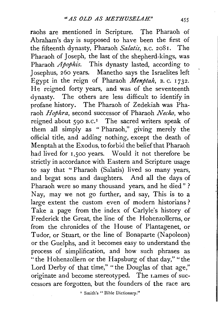raohs are mentioned in Scripture. The Pharaoh of Abraham's day is supposed to have been the first of the fifteenth dynasty, Pharaoh *Salatis*, *B.C.* 2081. The Pharaoh of Joseph, the last of the shepherd-kings, was Pharaoh *Apophis*. This dynasty lasted, according to Josephus, 260 years. Manetho says the Israelites left Egypt in the reign of Pharaoh *Menptah,* B. c. 1732. He reigned forty years, and was of the seventeenth dynasty. The others are less difficult to identify in profane history. The Pharaoh of Zedekiah was Pharaoh *Hophra,* second successor of Pharaoh *Necho,* who reigned about 590 B.C.<sup>1</sup> The sacred writers speak of them all simply as " Pharaoh," giving merely the official title, and adding nothing, except the death of Menptah at the Exodus, to forbid the belief that Pharaoh had lived for 1,500 years. Would it not therefore be strictly in accordance with Eastern and Scripture usage to say that "Pharaoh (Salatis) lived so many years, and begat sons and daughters. And all the days of Pharaoh were so many thousand years, and he died"? Nay, may we not go further, and say, This is to a large extent the custom even of modern historians? Take a page from the index of Carlyle's history of Frederick the Great, the line of the Hohenzollerns, or from the chronicles of the House of Plantagenet, or Tudor, or Stuart, or the line of Bonaparte (Napoleon) or the Guelphs, and it becomes easy to understand the process of simplification, and how such phrases as "the Hohenzollern or the Hapsburg of that day," "the Lord Derby of that time," "the Douglas of that age," originate and become stereotyped. The r.ames of successors are forgotten, but the founders of the race are

' Smith's "Bible Dictionary."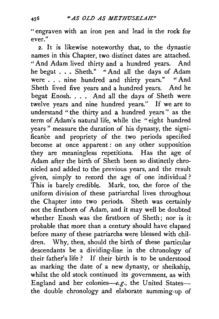"engraven with an iron pen and lead in the rock for ever."

2. It is likewise noteworthy that, to the dynastic names in this Chapter, two distinct dates are attached. "And Adam lived thirty and a hundred years. And he begat ... Sheth." "And all the days of Adam were . . . nine hundred and thirty years." "And Sheth lived five years and a hundred years. And he begat Enosh. . . . And all the days of Sheth were twelve years and nine hundred years." If we are to understand " the thirty and a hundred years " as the term of Adam's natural life, while the "eight hundred years" measure the duration of his dynasty, the significance and propriety of the two periods specified become at once apparent : on any other supposition they are meaningless repetitions. Has the age of Adam after the birth of Sheth been so distinctly chronicled and added to the previous years, and the result given, simply to record the age of one individual ? This is barely credible. Mark, too, the force of the uniform division of these patriarchal lives throughout the Chapter into two periods. Sheth was certainly not the firstborn of Adam, and it may well be doubted whether Enosh was the firstborn of Sheth; nor is it probable that more than a century should have elapsed before many of these patriarchs were blessed with children. Why, then, should the birth of these particular descendants be a dividing-line in the chronology of their father's life ? If their birth is to be understood as marking the date of a new dynasty, or sheikship, whilst the old stock continued its government, as with England and her colonies-e.g., the United Statesthe double chronology and elaborate summing-up of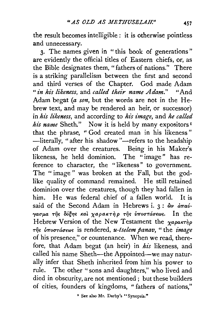the result becomes intelligible: it is otherwise pointless and unnecessary.

3· The names given in "this book of generations" are evidently the official titles of Eastern chiefs, or, as the Bible designates them, "fathers of nations." There is a striking parallelism between the first and second and third verses of the Chapter. God made Adam " *in his likeness, and called their name Adam.*" "And Adam begat (a *son,* but the words are not in the Hebrew text, and may be rendered an heir, or successor) in his likeness, and according to his image, and he called *his name* Sheth." Now it is held by many expositors<sup>1</sup> that the phrase, " God created man in his likeness " -literally, "after his shadow"-refers to the headship of Adam over the creatures. Being in his Maker's likeness, he held dominion. The "image" has reference to character, the " likeness" to government. The " image " was broken at the Fall, but the godlike quality of command remained. He still retained dominion over the creatures, though they had fallen in him. He was federal chief of a fallen world. It is said of the Second Adam in Hebrews i. 3:  $\hat{\omega}\nu$   $d\pi a\hat{\nu}$ γασμα της δόξης και χαρακτήρ της υποστάσεως. In the Hebrew Version of the New Testament the  $\chi a \rho a \kappa \tau \eta \rho$ Tfj<; v7roUTciO"e(J)<; is rendered, *u-tselem panav,* " the *image*  of his presence," or countenance. When we read, therefore, that Adam begat (an heir) in  $his$  likeness, and called his name Sheth-the Appointed-we may naturally infer that Sheth inherited from him his power to rule. The other " sons and daughters," who lived and died in obscurity, are not mentioned ; but these builders of cities, founders of kingdoms, " fathers of nations,"

1 See also Mr. Darby's "Synopsis.''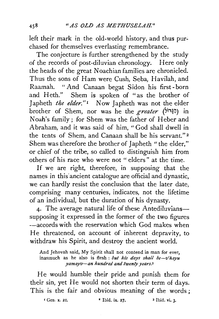left their mark in the old-world history, and thus purchased for themselves everlasting remembrance.

The conjecture is further strengthened by the study of the records of post-diluvian chronology. Here only the heads of the great Noachian families are chronicled. Thus the sons of Ham were Cush, Seba, Havilah, and Raamah. "And Canaan begat Sidon his first- born and Heth." Shem is spoken of "as the brother of Japheth *the elder*."<sup>1</sup> Now Japheth was not the elder brother of Shem, nor was he the *greater* (~i"T?iJ) in Noah's family; for Shem was the father of Heber and Abraham, and it was said of him, "God shall dwell in the tents of Shem, and Canaan shall be his servant." 2 Shem was therefore the brother of Japheth "the elder," or chief of the tribe, so called to distinguish him from others of his race who were not " elders" at the time.

If we are right, therefore, in supposing that the names in this'ancient catalogue are official and dynastic, we can hardly resist the conclusion that the later date; comprising many centuries, indicates, not the lifetime of an individual, but the duration of his dynasty.

4. The average natural life of these Antediluvianssupposing it expressed in the former of the two figures -accords with the reservation which God makes when He threatened, on account of inherent depravity, to withdraw his Spirit, and destroy the ancient world.

And Jehovah said, My Spirit shall not contend in man for ever, inasmuch as he also is flesh : *but his days shall be-v'hayu yamayv-an hundred and twenty years,l* 

He would humble their pride and punish them for their sin, yet He would not shorten their term of days. This is the fair and obvious meaning of the words ;

<sup>1</sup> Gen. x. 21. <sup>•</sup> Ibid. ix. 27, <sup>3</sup> Ibid. vi. 3.

458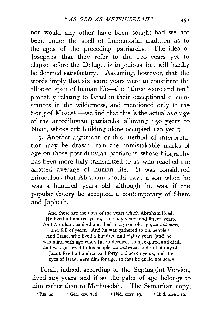nor would any other have been sought had we not been under the spell of immemorial tradition as to the ages of the preceding patriarchs. The idea of Josephus, that they refer to the 120 years yet to elapse before the Deluge, is ingenious, but will hardly be deemed satisfactory. Assuming, however, that the words imply that six score years were to constitute the allotted span of human life-the "three score and ten" probably relating to Israel in their exceptional circum. stances in the wilderness, and mentioned only in the Song of  $M$ oses<sup> $1$ </sup> —we find that this is the actual average of the antediluvian patriarchs, allowing 150 years to Noah, whose ark-building alone occupied 120 years.

5. Another argument for this method of interpretation may be drawn from the unmistakable marks of age on those post-diluvian patriarchs whose biography has been more fully transmitted to us, who reached the allotted average of human life. It was considered miraculous that Abraham should have a son when he was a hundred years old, although he was, if the popular theory be accepted, a contemporary of Shem and Japheth.

And these are the days of the years which Abraham lived. He lived a hundred years, and sixty years, and fifteen years. And Abraham expired and died in a good old age, *an old man,*  and full of years. And he was gathered to his people.<sup>2</sup> And Isaac, who lived a hundred and eighty years (and he was blind with age when Jacob deceived him), expired and died, and was gathered to his people, *an old man,* and full of days.3 Jacob lived a hundred and forty and seven years, and the eyes of Israel were dim for age, so that he could not see. <sup>4</sup>

Terah, indeed, according to the Septuagint Version, lived 205 years, and if so, the palm of age belongs to him rather than to Methuselah. The Samaritan copy,

<sup>1</sup> Psa. xc.  $\phantom{0}^{2}$  Gen. xxv. 7, 8.  $\phantom{0}^{3}$  Ibid. xxxv. 29.  $\phantom{0}$  4 Ibid. xl viii. 10.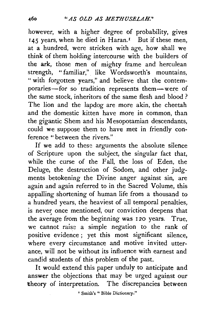however, with a higher degree of probability, gives  $145$  years, when he died in Haran.<sup> $I$ </sup> But if these men, at a hundred, were stricken with age, how shall we think of them holding intercourse with the builders of the ark, those men of mighty frame and herculean strength, "familiar," like Wordsworth's mountains, " with forgotten years," and believe that the contemporaries-for so tradition represents them-were of the same stock, inheritors of the same flesh and blood ? The lion and the lapdog are more akin, the cheetah and the domestic kitten have more in common, than the gigantic Shem and his Mesopotamian descendants, could we suppose them to have met in friendly conference " between the rivers."

If we add to these arguments the absolute silence of Scripture upon the subject, the singular fact that, while the curse of the Fall, the loss of Eden, the Deluge, the destruction of Sodom, and other judgments betokening the Divine anger against sin, are again and again referred to in the Sacred Volume, this appalling shortening of human life from a thousand to a hundred years, the heaviest of all temporal penalties, is never once mentioned, our conviction deepens that the average from the beginning was 120 years. True, we cannot raise a simple negation to the rank of positive evidence ; yet this most significant silence, where every circumstance and motive invited utterance, will not be without its influence with earnest and candid students of this problem of the past.

It would extend this paper unduly to anticipate and answer the objections that may be urged against our theory of interpretation. The discrepancies between

' Smith's " Bible Dictionary."